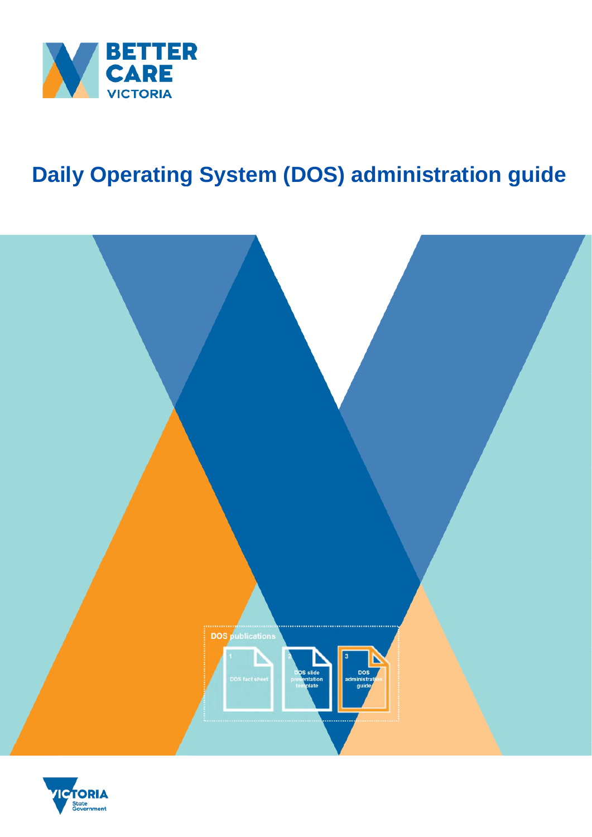

# **Daily Operating System (DOS) administration guide**



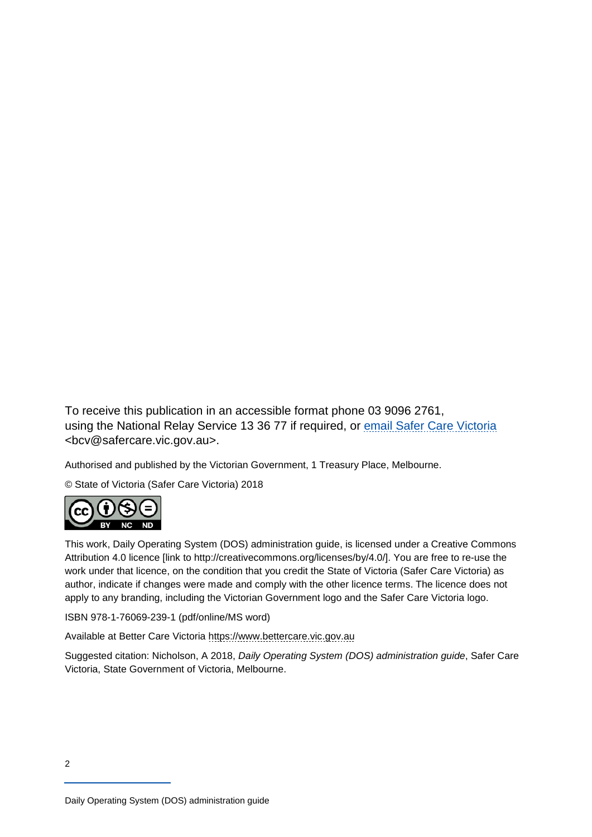To receive this publication in an accessible format phone 03 9096 2761, using the National Relay Service 13 36 77 if required, or email Safer Care Victoria <bcv@safercare.vic.gov.au>.

Authorised and published by the Victorian Government, 1 Treasury Place, Melbourne.

© State of Victoria (Safer Care Victoria) 2018



This work, Daily Operating System (DOS) administration guide, is licensed under a Creative Commons Attribution 4.0 licence [link to http://creativecommons.org/licenses/by/4.0/]. You are free to re-use the work under that licence, on the condition that you credit the State of Victoria (Safer Care Victoria) as author, indicate if changes were made and comply with the other licence terms. The licence does not apply to any branding, including the Victorian Government logo and the Safer Care Victoria logo.

ISBN 978-1-76069-239-1 (pdf/online/MS word)

Available at Better Care Victoria https://www.bettercare.vic.gov.au

Suggested citation: Nicholson, A 2018, *Daily Operating System (DOS) administration guide*, Safer Care Victoria, State Government of Victoria, Melbourne.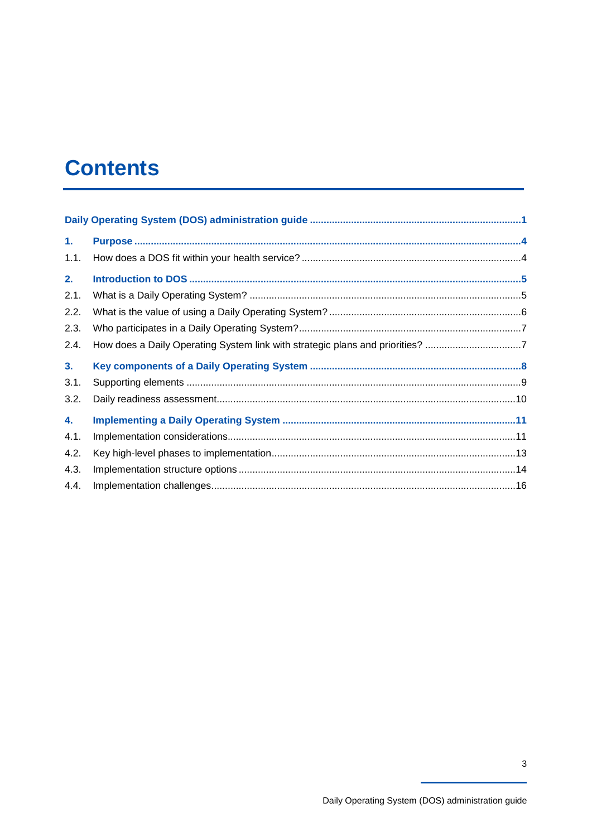## **Contents**

| 1.             |                                                                               |  |
|----------------|-------------------------------------------------------------------------------|--|
| 1.1.           |                                                                               |  |
| 2.             |                                                                               |  |
| 2.1.           |                                                                               |  |
| 2.2.           |                                                                               |  |
| 2.3.           |                                                                               |  |
| 2.4.           | How does a Daily Operating System link with strategic plans and priorities? 7 |  |
|                |                                                                               |  |
| 3 <sub>1</sub> |                                                                               |  |
| 3.1.           |                                                                               |  |
| 3.2.           |                                                                               |  |
| 4.             |                                                                               |  |
| 4.1.           |                                                                               |  |
| 4.2.           |                                                                               |  |
| 4.3.           |                                                                               |  |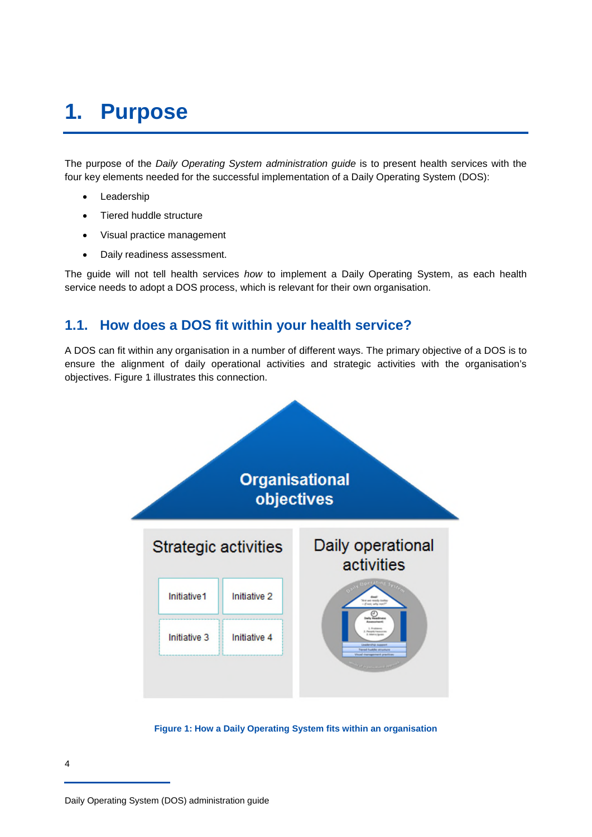## **1. Purpose**

The purpose of the *Daily Operating System administration guide* is to present health services with the four key elements needed for the successful implementation of a Daily Operating System (DOS):

- Leadership
- Tiered huddle structure
- Visual practice management
- Daily readiness assessment.

The guide will not tell health services *how* to implement a Daily Operating System, as each health service needs to adopt a DOS process, which is relevant for their own organisation.

### **1.1. How does a DOS fit within your health service?**

A DOS can fit within any organisation in a number of different ways. The primary objective of a DOS is to ensure the alignment of daily operational activities and strategic activities with the organisation's objectives. Figure 1 illustrates this connection.



**Figure 1: How a Daily Operating System fits within an organisation**

Daily Operating System (DOS) administration guide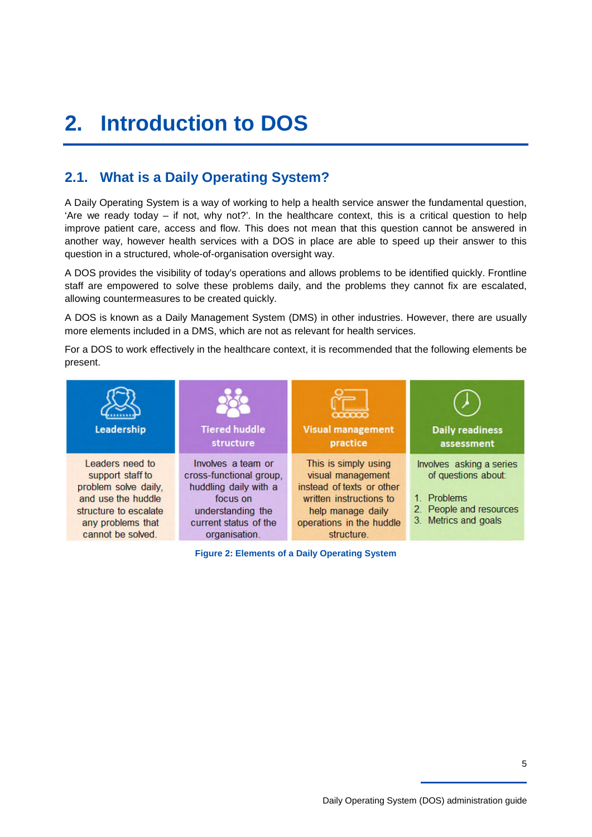# **2. Introduction to DOS**

## **2.1. What is a Daily Operating System?**

A Daily Operating System is a way of working to help a health service answer the fundamental question, 'Are we ready today – if not, why not?'. In the healthcare context, this is a critical question to help improve patient care, access and flow. This does not mean that this question cannot be answered in another way, however health services with a DOS in place are able to speed up their answer to this question in a structured, whole-of-organisation oversight way.

A DOS provides the visibility of today's operations and allows problems to be identified quickly. Frontline staff are empowered to solve these problems daily, and the problems they cannot fix are escalated, allowing countermeasures to be created quickly.

A DOS is known as a Daily Management System (DMS) in other industries. However, there are usually more elements included in a DMS, which are not as relevant for health services.

For a DOS to work effectively in the healthcare context, it is recommended that the following elements be present.



**Figure 2: Elements of a Daily Operating System**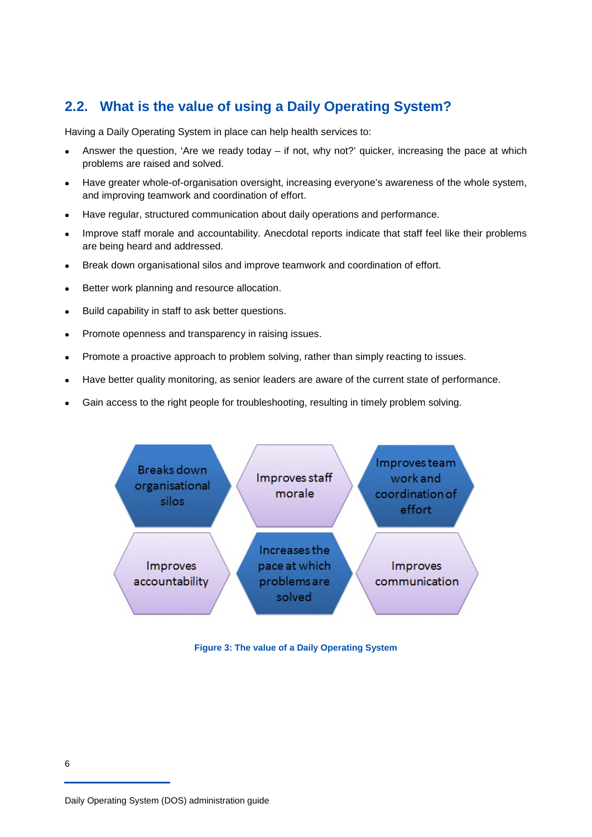## **2.2. What is the value of using a Daily Operating System?**

Having a Daily Operating System in place can help health services to:

- Answer the question, 'Are we ready today if not, why not?' quicker, increasing the pace at which problems are raised and solved.
- Have greater whole-of-organisation oversight, increasing everyone's awareness of the whole system, and improving teamwork and coordination of effort.
- Have regular, structured communication about daily operations and performance.
- Improve staff morale and accountability. Anecdotal reports indicate that staff feel like their problems are being heard and addressed.
- Break down organisational silos and improve teamwork and coordination of effort.
- Better work planning and resource allocation.
- Build capability in staff to ask better questions.
- Promote openness and transparency in raising issues.
- Promote a proactive approach to problem solving, rather than simply reacting to issues.
- Have better quality monitoring, as senior leaders are aware of the current state of performance.
- Gain access to the right people for troubleshooting, resulting in timely problem solving.



**Figure 3: The value of a Daily Operating System**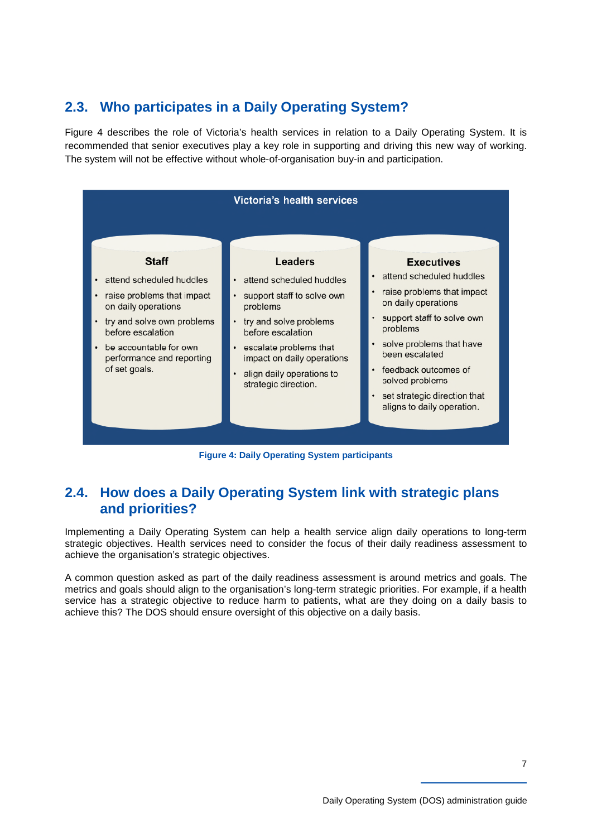## **2.3. Who participates in a Daily Operating System?**

Figure 4 describes the role of Victoria's health services in relation to a Daily Operating System. It is recommended that senior executives play a key role in supporting and driving this new way of working. The system will not be effective without whole-of-organisation buy-in and participation.



**Figure 4: Daily Operating System participants** 

### **2.4. How does a Daily Operating System link with strategic plans and priorities?**

Implementing a Daily Operating System can help a health service align daily operations to long-term strategic objectives. Health services need to consider the focus of their daily readiness assessment to achieve the organisation's strategic objectives.

A common question asked as part of the daily readiness assessment is around metrics and goals. The metrics and goals should align to the organisation's long-term strategic priorities. For example, if a health service has a strategic objective to reduce harm to patients, what are they doing on a daily basis to achieve this? The DOS should ensure oversight of this objective on a daily basis.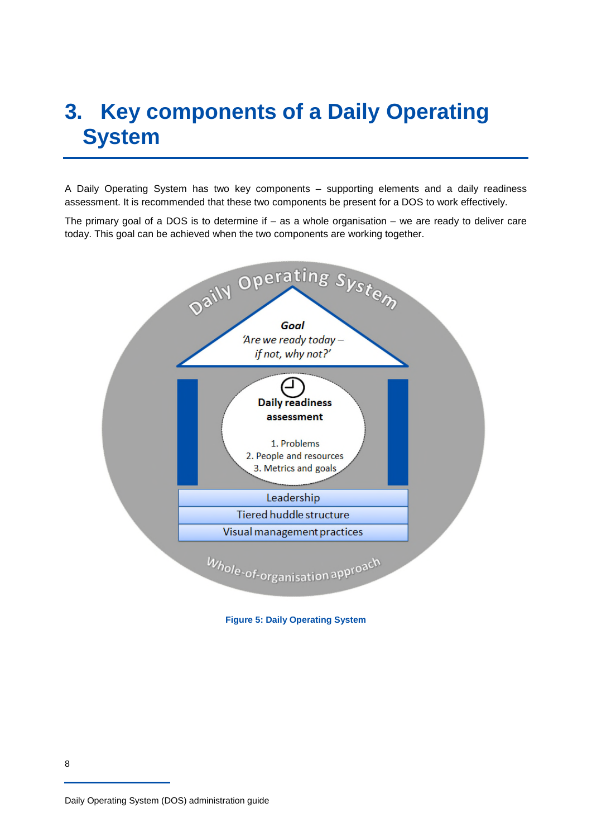# **3. Key components of a Daily Operating System**

A Daily Operating System has two key components – supporting elements and a daily readiness assessment. It is recommended that these two components be present for a DOS to work effectively.

The primary goal of a DOS is to determine if – as a whole organisation – we are ready to deliver care today. This goal can be achieved when the two components are working together.



**Figure 5: Daily Operating System** 

Daily Operating System (DOS) administration guide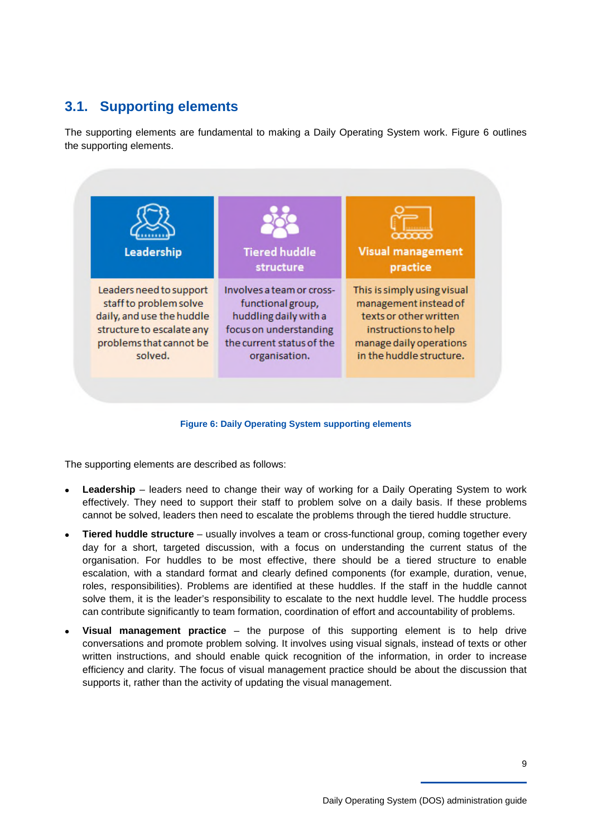## **3.1. Supporting elements**

The supporting elements are fundamental to making a Daily Operating System work. Figure 6 outlines the supporting elements.



#### **Figure 6: Daily Operating System supporting elements**

The supporting elements are described as follows:

- **Leadership** leaders need to change their way of working for a Daily Operating System to work effectively. They need to support their staff to problem solve on a daily basis. If these problems cannot be solved, leaders then need to escalate the problems through the tiered huddle structure.
- **Tiered huddle structure** usually involves a team or cross-functional group, coming together every day for a short, targeted discussion, with a focus on understanding the current status of the organisation. For huddles to be most effective, there should be a tiered structure to enable escalation, with a standard format and clearly defined components (for example, duration, venue, roles, responsibilities). Problems are identified at these huddles. If the staff in the huddle cannot solve them, it is the leader's responsibility to escalate to the next huddle level. The huddle process can contribute significantly to team formation, coordination of effort and accountability of problems.
- **Visual management practice** the purpose of this supporting element is to help drive conversations and promote problem solving. It involves using visual signals, instead of texts or other written instructions, and should enable quick recognition of the information, in order to increase efficiency and clarity. The focus of visual management practice should be about the discussion that supports it, rather than the activity of updating the visual management.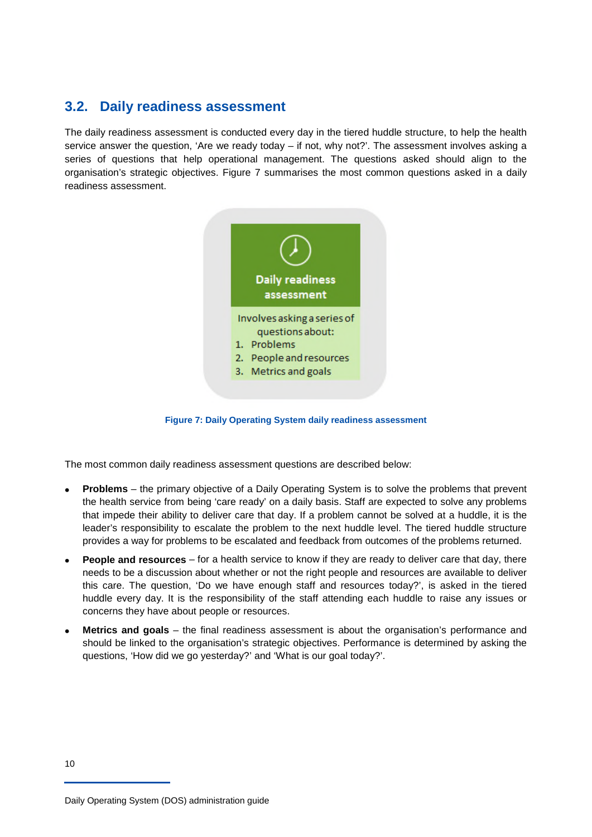### **3.2. Daily readiness assessment**

The daily readiness assessment is conducted every day in the tiered huddle structure, to help the health service answer the question, 'Are we ready today – if not, why not?'. The assessment involves asking a series of questions that help operational management. The questions asked should align to the organisation's strategic objectives. Figure 7 summarises the most common questions asked in a daily readiness assessment.



**Figure 7: Daily Operating System daily readiness assessment** 

The most common daily readiness assessment questions are described below:

- • **Problems** the primary objective of a Daily Operating System is to solve the problems that prevent the health service from being 'care ready' on a daily basis. Staff are expected to solve any problems that impede their ability to deliver care that day. If a problem cannot be solved at a huddle, it is the leader's responsibility to escalate the problem to the next huddle level. The tiered huddle structure provides a way for problems to be escalated and feedback from outcomes of the problems returned.
- **People and resources** for a health service to know if they are ready to deliver care that day, there needs to be a discussion about whether or not the right people and resources are available to deliver this care. The question, 'Do we have enough staff and resources today?', is asked in the tiered huddle every day. It is the responsibility of the staff attending each huddle to raise any issues or concerns they have about people or resources.
- **Metrics and goals** the final readiness assessment is about the organisation's performance and should be linked to the organisation's strategic objectives. Performance is determined by asking the questions, 'How did we go yesterday?' and 'What is our goal today?'.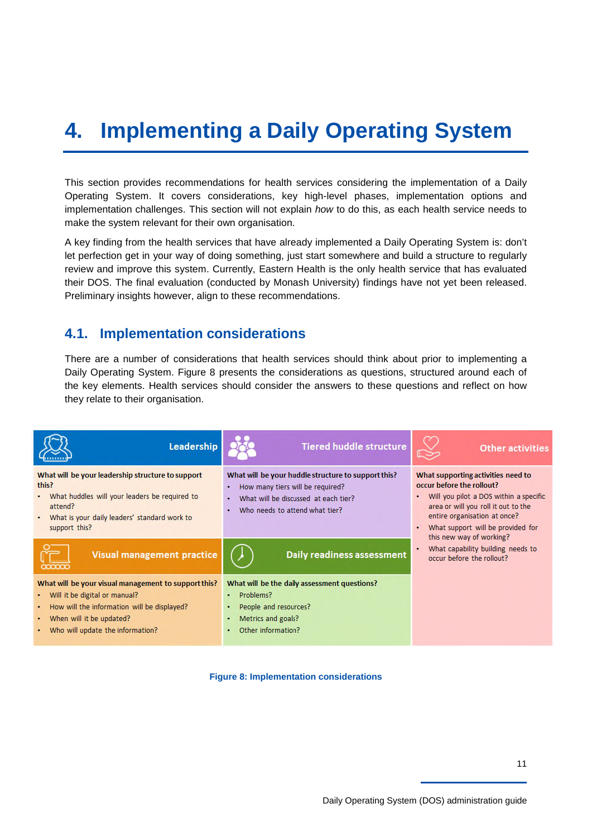# **4. Implementing a Daily Operating System**

This section provides recommendations for health services considering the implementation of a Daily Operating System. It covers considerations, key high-level phases, implementation options and implementation challenges. This section will not explain *how* to do this, as each health service needs to make the system relevant for their own organisation.

A key finding from the health services that have already implemented a Daily Operating System is: don't let perfection get in your way of doing something, just start somewhere and build a structure to regularly review and improve this system. Currently, Eastern Health is the only health service that has evaluated their DOS. The final evaluation (conducted by Monash University) findings have not yet been released. Preliminary insights however, align to these recommendations.

### **4.1. Implementation considerations**

There are a number of considerations that health services should think about prior to implementing a Daily Operating System. Figure 8 presents the considerations as questions, structured around each of the key elements. Health services should consider the answers to these questions and reflect on how they relate to their organisation.



**Figure 8: Implementation considerations**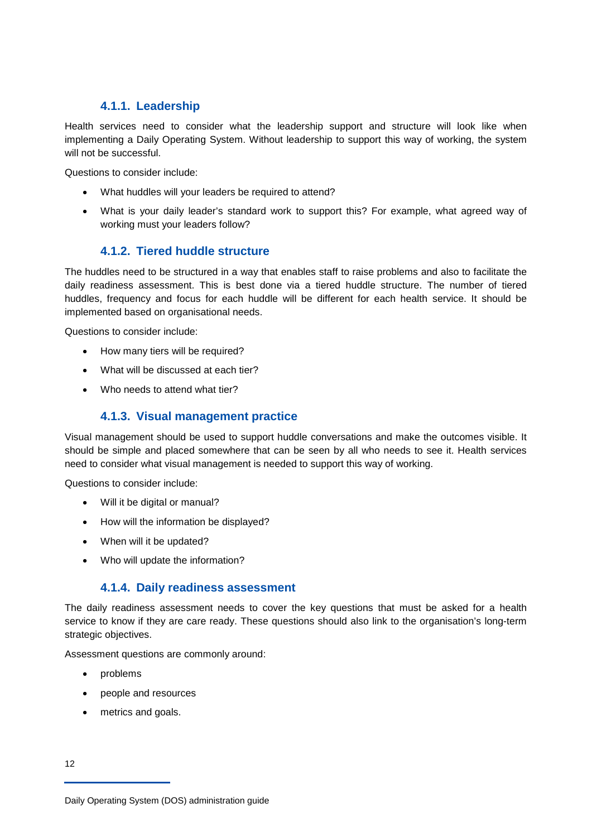#### **4.1.1. Leadership**

Health services need to consider what the leadership support and structure will look like when implementing a Daily Operating System. Without leadership to support this way of working, the system will not be successful.

Questions to consider include:

- What huddles will your leaders be required to attend?
- What is your daily leader's standard work to support this? For example, what agreed way of working must your leaders follow?

### **4.1.2. Tiered huddle structure**

The huddles need to be structured in a way that enables staff to raise problems and also to facilitate the daily readiness assessment. This is best done via a tiered huddle structure. The number of tiered huddles, frequency and focus for each huddle will be different for each health service. It should be implemented based on organisational needs.

Questions to consider include:

- How many tiers will be required?
- What will be discussed at each tier?
- Who needs to attend what tier?

#### **4.1.3. Visual management practice**

Visual management should be used to support huddle conversations and make the outcomes visible. It should be simple and placed somewhere that can be seen by all who needs to see it. Health services need to consider what visual management is needed to support this way of working.

Questions to consider include:

- Will it be digital or manual?
- How will the information be displayed?
- When will it be updated?
- Who will update the information?

#### **4.1.4. Daily readiness assessment**

The daily readiness assessment needs to cover the key questions that must be asked for a health service to know if they are care ready. These questions should also link to the organisation's long-term strategic objectives.

Assessment questions are commonly around:

- problems
- people and resources
- metrics and goals.

Daily Operating System (DOS) administration guide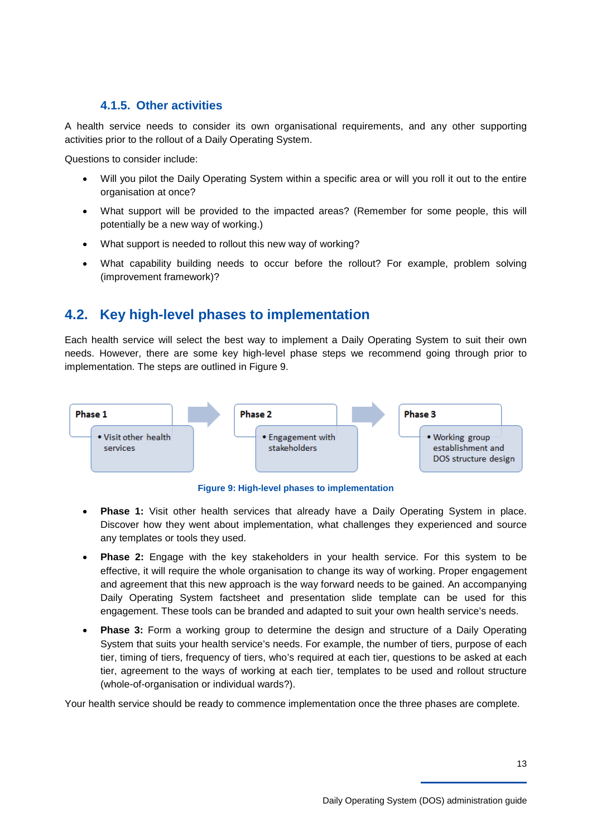#### **4.1.5. Other activities**

A health service needs to consider its own organisational requirements, and any other supporting activities prior to the rollout of a Daily Operating System.

Questions to consider include:

- Will you pilot the Daily Operating System within a specific area or will you roll it out to the entire organisation at once?
- What support will be provided to the impacted areas? (Remember for some people, this will potentially be a new way of working.)
- What support is needed to rollout this new way of working?
- What capability building needs to occur before the rollout? For example, problem solving (improvement framework)?

## **4.2. Key high-level phases to implementation**

Each health service will select the best way to implement a Daily Operating System to suit their own needs. However, there are some key high-level phase steps we recommend going through prior to implementation. The steps are outlined in Figure 9.



**Figure 9: High-level phases to implementation** 

- **Phase 1:** Visit other health services that already have a Daily Operating System in place. Discover how they went about implementation, what challenges they experienced and source any templates or tools they used.
- **Phase 2:** Engage with the key stakeholders in your health service. For this system to be effective, it will require the whole organisation to change its way of working. Proper engagement and agreement that this new approach is the way forward needs to be gained. An accompanying Daily Operating System factsheet and presentation slide template can be used for this engagement. These tools can be branded and adapted to suit your own health service's needs.
- **Phase 3:** Form a working group to determine the design and structure of a Daily Operating System that suits your health service's needs. For example, the number of tiers, purpose of each tier, timing of tiers, frequency of tiers, who's required at each tier, questions to be asked at each tier, agreement to the ways of working at each tier, templates to be used and rollout structure (whole-of-organisation or individual wards?).

Your health service should be ready to commence implementation once the three phases are complete.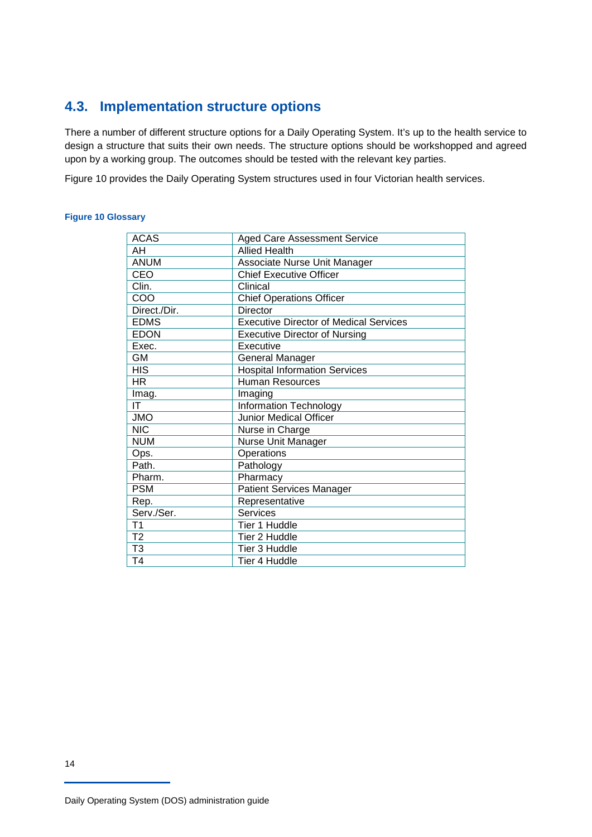## **4.3. Implementation structure options**

There a number of different structure options for a Daily Operating System. It's up to the health service to design a structure that suits their own needs. The structure options should be workshopped and agreed upon by a working group. The outcomes should be tested with the relevant key parties.

Figure 10 provides the Daily Operating System structures used in four Victorian health services.

#### **Figure 10 Glossary**

| <b>ACAS</b>    | <b>Aged Care Assessment Service</b>           |
|----------------|-----------------------------------------------|
| AH             | <b>Allied Health</b>                          |
| <b>ANUM</b>    | Associate Nurse Unit Manager                  |
| CEO            | <b>Chief Executive Officer</b>                |
| Clin.          | Clinical                                      |
| COO            | <b>Chief Operations Officer</b>               |
| Direct./Dir.   | Director                                      |
| <b>EDMS</b>    | <b>Executive Director of Medical Services</b> |
| <b>EDON</b>    | <b>Executive Director of Nursing</b>          |
| Exec.          | Executive                                     |
| GМ             | General Manager                               |
| <b>HIS</b>     | <b>Hospital Information Services</b>          |
| HR.            | Human Resources                               |
| Imag.          | Imaging                                       |
| ΙT             | <b>Information Technology</b>                 |
| <b>JMO</b>     | <b>Junior Medical Officer</b>                 |
| <b>NIC</b>     | Nurse in Charge                               |
| <b>NUM</b>     | Nurse Unit Manager                            |
| Ops.           | <b>Operations</b>                             |
| Path.          | Pathology                                     |
| Pharm.         | Pharmacy                                      |
| <b>PSM</b>     | <b>Patient Services Manager</b>               |
| Rep.           | Representative                                |
| Serv./Ser.     | <b>Services</b>                               |
| T <sub>1</sub> | Tier 1 Huddle                                 |
| T <sub>2</sub> | Tier 2 Huddle                                 |
| T <sub>3</sub> | Tier 3 Huddle                                 |
| T <sub>4</sub> | Tier 4 Huddle                                 |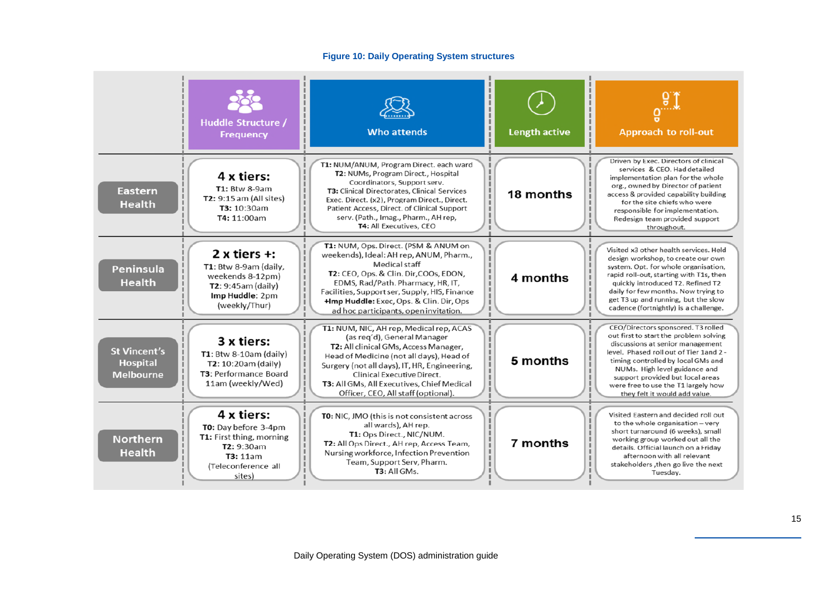#### **Figure 10: Daily Operating System structures**